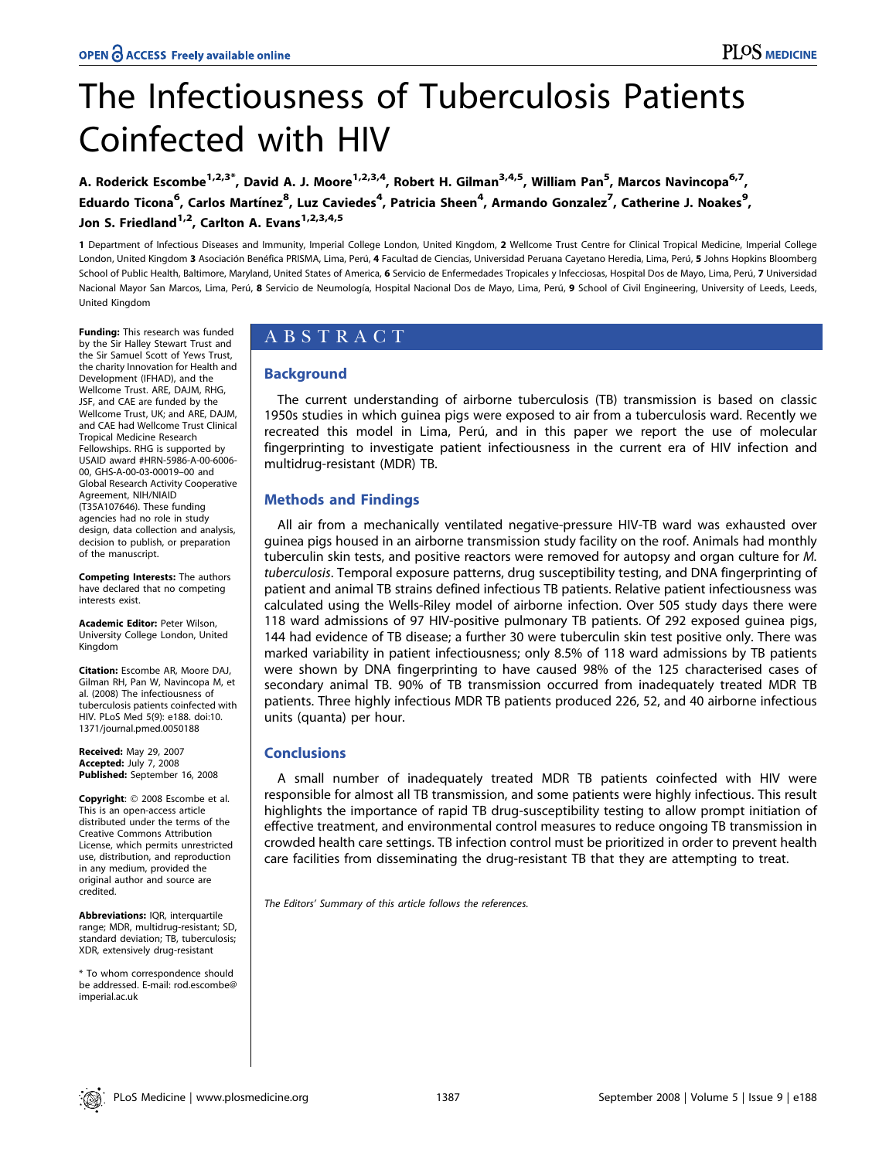# The Infectiousness of Tuberculosis Patients Coinfected with HIV

A. Roderick Escombe<sup>1,2,3\*</sup>, David A. J. Moore<sup>1,2,3,4</sup>, Robert H. Gilman<sup>3,4,5</sup>, William Pan<sup>5</sup>, Marcos Navincopa<sup>6,7</sup>, Eduardo Ticona<sup>6</sup>, Carlos Martínez<sup>8</sup>, Luz Caviedes<sup>4</sup>, Patricia Sheen<sup>4</sup>, Armando Gonzalez<sup>7</sup>, Catherine J. Noakes<sup>9</sup>, Jon S. Friedland<sup>1,2</sup>, Carlton A. Evans<sup>1,2,3,4,5</sup>

1 Department of Infectious Diseases and Immunity, Imperial College London, United Kingdom, 2 Wellcome Trust Centre for Clinical Tropical Medicine, Imperial College London, United Kingdom 3 Asociación Benéfica PRISMA, Lima, Perú, 4 Facultad de Ciencias, Universidad Peruana Cayetano Heredia, Lima, Perú, 5 Johns Hopkins Bloomberg School of Public Health, Baltimore, Maryland, United States of America, 6 Servicio de Enfermedades Tropicales y Infecciosas, Hospital Dos de Mayo, Lima, Perú, 7 Universidad Nacional Mayor San Marcos, Lima, Perú, 8 Servicio de Neumología, Hospital Nacional Dos de Mayo, Lima, Perú, 9 School of Civil Engineering, University of Leeds, Leeds, United Kingdom

Funding: This research was funded by the Sir Halley Stewart Trust and the Sir Samuel Scott of Yews Trust, the charity Innovation for Health and Development (IFHAD), and the Wellcome Trust. ARE, DAJM, RHG, JSF, and CAE are funded by the Wellcome Trust, UK; and ARE, DAJM, and CAE had Wellcome Trust ClinicalTropical Medicine Research Fellowships. RHG is supported by USAID award #HRN-5986-A-00-6006-00, GHS-A-00-03-00019–00 and Global Research Activity Cooperative Agreement, NIH/NIAID (T35A107646). These funding agencies had no role in study design, data collection and analysis, decision to publish, or preparation of the manuscript.

Competing Interests: The authors have declared that no competing interests exist.

Academic Editor: Peter Wilson, University College London, United Kingdom

Citation: Escombe AR, Moore DAJ, Gilman RH, Pan W, Navincopa M, et al. (2008) The infectiousness of tuberculosis patients coinfected with HIV. PLoS Med 5(9): e188. doi:10. 1371/journal.pmed.0050188

**Received:** May 29, 2007 Accepted: July 7, 2008 **Published:** September 16, 2008

Copyright: © 2008 Escombe et al. This is an open-access article distributed under the terms of the Creative Commons Attribution License, which permits unrestricted use, distribution, and reproduction in any medium, provided the original author and source are credited.

**Abbreviations:** IQR, interquartile range; MDR, multidrug-resistant; SD, standard deviation; TB, tuberculosis; XDR, extensively drug-resistant

\* To whom correspondence should be addressed. E-mail: rod.escombe@imperial.ac.uk

# ABSTRACT

# **Background**

The current understanding of airborne tuberculosis (TB) transmission is based on classic 1950s studies in which guinea pigs were exposed to air from <sup>a</sup> tuberculosis ward. Recently we recreated this model in Lima, Perú, and in this paper we report the use of molecular fingerprinting to investigate patient infectiousness in the current era of HIV infection and multidrug-resistant (MDR) TB.

# Methods and Findings

All air from <sup>a</sup> mechanically ventilated negative-pressure HIV-TB ward was exhausted over guinea pigs housed in an airborne transmission study facility on the roof. Animals had monthly tuberculin skin tests, and positive reactors were removed for autopsy and organ culture for M. tuberculosis. Temporal exposure patterns, drug susceptibility testing, and DNA fingerprinting of patient and animal TB strains defined infectious TB patients. Relative patient infectiousness was calculated using the Wells-Riley model of airborne infection. Over 505 study days there were 118 ward admissions of 97 HIV-positive pulmonary TB patients. Of 292 exposed guinea pigs, <sup>144</sup> had evidence of TB disease; <sup>a</sup> further 30 were tuberculin skin test positive only. There was marked variability in patient infectiousness; only 8.5% of 118 ward admissions by TB patients were shown by DNA fingerprinting to have caused 98% of the 125 characterised cases of secondary animal TB. 90% of TB transmission occurred from inadequately treated MDR TB patients. Three highly infectious MDR TB patients produced 226, 52, and 40 airborne infectious units (quanta) per hour.

# **Conclusions**

A small number of inadequately treated MDR TB patients coinfected with HIV were responsible for almost all TB transmission, and some patients were highly infectious. This result highlights the importance of rapid TB drug-susceptibility testing to allow prompt initiation of effective treatment, and environmental control measures to reduce ongoing TB transmission in crowded health care settings. TB infection control must be prioritized in order to prevent health care facilities from disseminating the drug-resistant TB that they are attempting to treat.

The Editors' Summary of this article follows the references.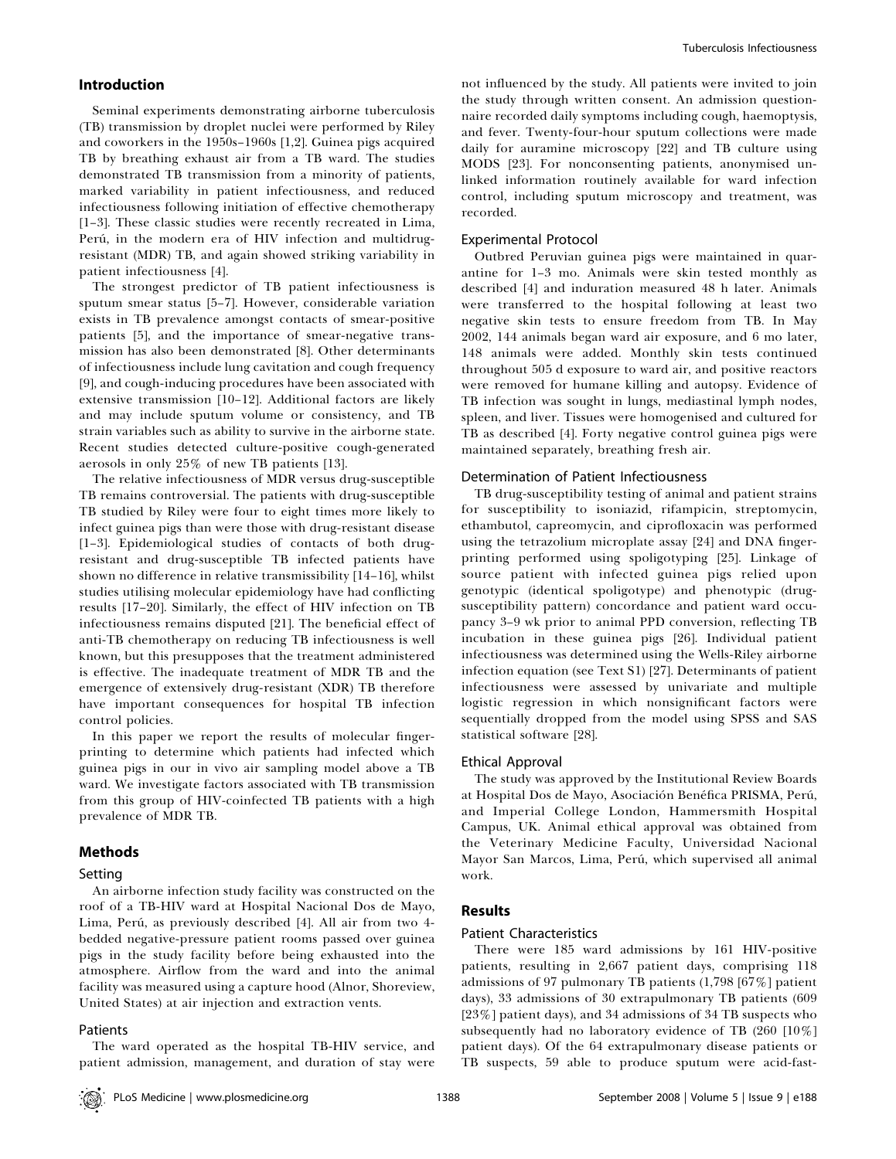# Introduction

Seminal experiments demonstrating airborne tuberculosis (TB) transmission by droplet nuclei were performed by Riley and coworkers in the 1950s–1960s [1,2]. Guinea pigs acquired TB by breathing exhaust air from <sup>a</sup> TB ward. The studies demonstrated TB transmission from <sup>a</sup> minority of patients, marked variability in patient infectiousness, and reduced infectiousness following initiation of effective chemotherapy [1–3]. These classic studies were recently recreated in Lima, Perú, in the modern era of HIV infection and multidrugresistant (MDR) TB, and again showed striking variability in patient infectiousness [4].

The strongest predictor of TB patient infectiousness is sputum smear status [5–7]. However, considerable variation exists in TB prevalence amongs<sup>t</sup> contacts of smear-positive patients [5], and the importance of smear-negative transmission has also been demonstrated [8]. Other determinants of infectiousness include lung cavitation and cough frequency [9], and cough-inducing procedures have been associated with extensive transmission [10–12]. Additional factors are likely and may include sputum volume or consistency, and TB strain variables such as ability to survive in the airborne state. Recent studies detected culture-positive cough-generated aerosols in only 25% of new TB patients [13].

The relative infectiousness of MDR versus drug-susceptible TB remains controversial. The patients with drug-susceptible TB studied by Riley were four to eight times more likely to infect guinea pigs than were those with drug-resistant disease [1–3]. Epidemiological studies of contacts of both drugresistant and drug-susceptible TB infected patients have shown no difference in relative transmissibility [14–16], whilst studies utilising molecular epidemiology have had conflicting results [17–20]. Similarly, the effect of HIV infection on TB infectiousness remains disputed [21]. The beneficial effect of anti-TB chemotherapy on reducing TB infectiousness is well known, but this presupposes that the treatment administered is effective. The inadequate treatment of MDR TB and the emergence of extensively drug-resistant (XDR) TB therefore have important consequences for hospital TB infection control policies.

In this paper we repor<sup>t</sup> the results of molecular fingerprinting to determine which patients had infected which guinea pigs in our in vivo air sampling model above <sup>a</sup> TB ward. We investigate factors associated with TB transmission from this group of HIV-coinfected TB patients with <sup>a</sup> high prevalence of MDR TB.

### Methods

#### Setting

An airborne infection study facility was constructed on the roof of <sup>a</sup> TB-HIV ward at Hospital Nacional Dos de Mayo, Lima, Perú, as previously described [4]. All air from two 4bedded negative-pressure patient rooms passed over guinea pigs in the study facility before being exhausted into the atmosphere. Airflow from the ward and into the animal facility was measured using <sup>a</sup> capture hood (Alnor, Shoreview, United States) at air injection and extraction vents.

### Patients

not influenced by the study. All patients were invited to join the study through written consent. An admission questionnaire recorded daily symptoms including cough, haemoptysis, and fever. Twenty-four-hour sputum collections were made daily for auramine microscopy [22] and TB culture using MODS [23]. For nonconsenting patients, anonymised unlinked information routinely available for ward infection control, including sputum microscopy and treatment, was recorded.

## Experimental Protocol

Outbred Peruvian guinea pigs were maintained in quarantine for 1–3 mo. Animals were skin tested monthly as described [4] and induration measured 48 h later. Animals were transferred to the hospital following at least two negative skin tests to ensure freedom from TB. In May 2002, 144 animals began ward air exposure, and 6 mo later, 148 animals were added. Monthly skin tests continued throughout 505 d exposure to ward air, and positive reactors were removed for humane killing and autopsy. Evidence of TB infection was sought in lungs, mediastinal lymph nodes, spleen, and liver. Tissues were homogenised and cultured for TB as described [4]. Forty negative control guinea pigs were maintained separately, breathing fresh air.

#### Determination of Patient Infectiousness

TB drug-susceptibility testing of animal and patient strains for susceptibility to isoniazid, rifampicin, streptomycin, ethambutol, capreomycin, and ciprofloxacin was performed using the tetrazolium microplate assay [24] and DNA fingerprinting performed using spoligotyping [25]. Linkage of source patient with infected guinea pigs relied upon genotypic (identical spoligotype) and phenotypic (drugsusceptibility pattern) concordance and patient ward occupancy 3–9 wk prior to animal PPD conversion, reflecting TB incubation in these guinea pigs [26]. Individual patient infectiousness was determined using the Wells-Riley airborne infection equation (see Text S1) [27]. Determinants of patient infectiousness were assessed by univariate and multiple logistic regression in which nonsignificant factors were sequentially dropped from the model using SPSS and SAS statistical software [28].

## Ethical Approval

The study was approved by the Institutional Review Boards at Hospital Dos de Mayo, Asociación Benéfica PRISMA, Perú, and Imperial College London, Hammersmith Hospital Campus, UK. Animal ethical approval was obtained from the Veterinary Medicine Faculty, Universidad Nacional Mayor San Marcos, Lima, Perú, which supervised all animal work.

## Results

#### Patient Characteristics

There were 185 ward admissions by 161 HIV-positive patients, resulting in 2,667 patient days, comprising <sup>118</sup> admissions of 97 pulmonary TB patients (1,798 [67%] patient days), 33 admissions of 30 extrapulmonary TB patients (609 [23%] patient days), and 34 admissions of 34 TB suspects who subsequently had no laboratory evidence of TB (260 [10%] patient days). Of the 64 extrapulmonary disease patients or TB suspects, 59 able to produce sputum were acid-fast-

The ward operated as the hospital TB-HIV service, and patient admission, management, and duration of stay were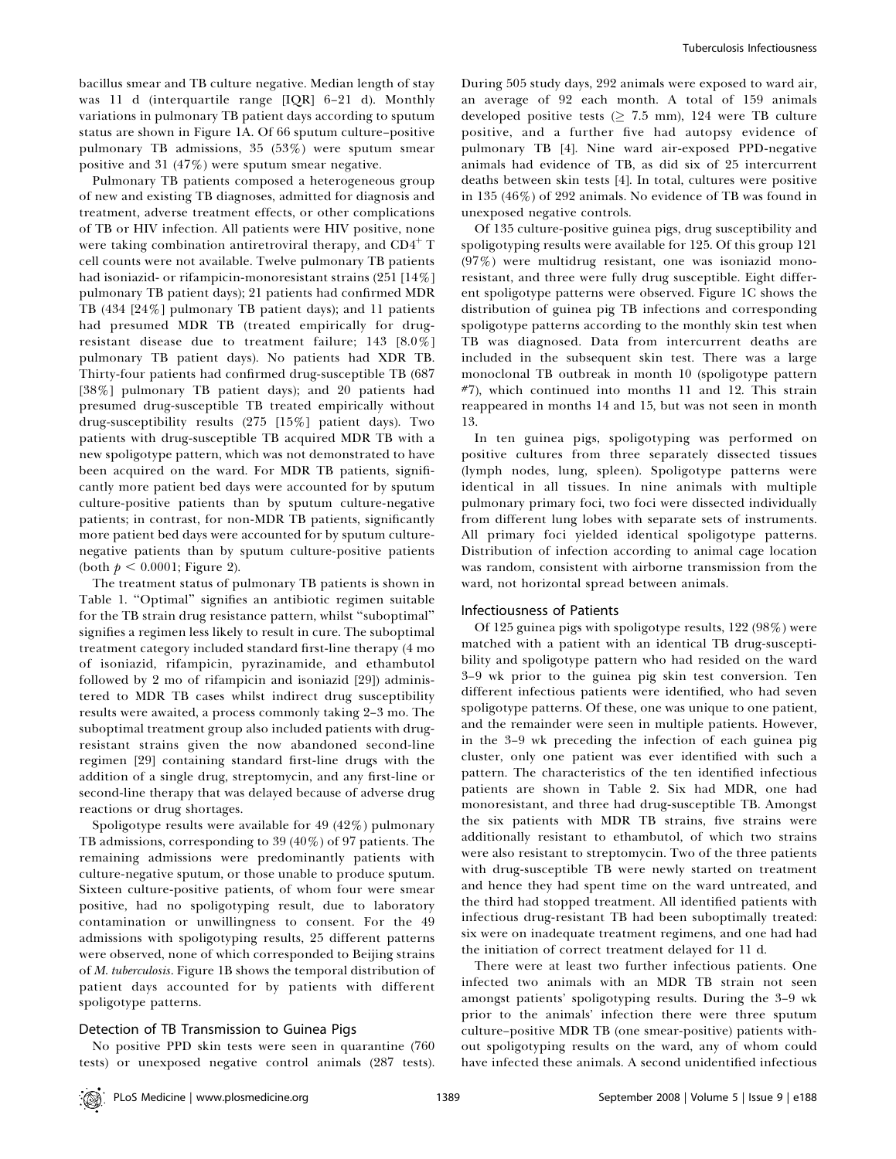bacillus smear and TB culture negative. Median length of stay was 11 d (interquartile range [IQR] 6–21 d). Monthly variations in pulmonary TB patient days according to sputum status are shown in Figure 1A. Of 66 sputum culture–positive pulmonary TB admissions, 35 (53%) were sputum smear positive and <sup>31</sup> (47%) were sputum smear negative.

Pulmonary TB patients composed <sup>a</sup> heterogeneous group of new and existing TB diagnoses, admitted for diagnosis and treatment, adverse treatment effects, or other complications of TB or HIV infection. All patients were HIV positive, none were taking combination antiretroviral therapy, and  $CD4^+T$ cell counts were not available. Twelve pulmonary TB patients had isoniazid- or rifampicin-monoresistant strains (251 [14%] pulmonary TB patient days); 21 patients had confirmed MDR TB (434 [24%] pulmonary TB patient days); and 11 patients had presumed MDR TB (treated empirically for drugresistant disease due to treatment failure; 143 [8.0%] pulmonary TB patient days). No patients had XDR TB. Thirty-four patients had confirmed drug-susceptible TB (687 [38%] pulmonary TB patient days); and 20 patients had presumed drug-susceptible TB treated empirically without drug-susceptibility results (275 [15%] patient days). Two patients with drug-susceptible TB acquired MDR TB with <sup>a</sup> new spoligotype pattern, which was not demonstrated to have been acquired on the ward. For MDR TB patients, significantly more patient bed days were accounted for by sputum culture-positive patients than by sputum culture-negative patients; in contrast, for non-MDR TB patients, significantly more patient bed days were accounted for by sputum culturenegative patients than by sputum culture-positive patients (both  $p < 0.0001;$  Figure 2).

The treatment status of pulmonary TB patients is shown in Table 1. ''Optimal'' signifies an antibiotic regimen suitable for the TB strain drug resistance pattern, whilst ''suboptimal'' signifies <sup>a</sup> regimen less likely to result in cure. The suboptimal treatment category included standard first-line therapy (4 mo of isoniazid, rifampicin, pyrazinamide, and ethambutol followed by 2 mo of rifampicin and isoniazid [29]) administered to MDR TB cases whilst indirect drug susceptibility results were awaited, <sup>a</sup> process commonly taking 2–3 mo. The suboptimal treatment group also included patients with drugresistant strains given the now abandoned second-line regimen [29] containing standard first-line drugs with the addition of <sup>a</sup> single drug, streptomycin, and any first-line or second-line therapy that was delayed because of adverse drug reactions or drug shortages.

Spoligotype results were available for 49 (42%) pulmonary TB admissions, corresponding to <sup>39</sup> (40%) of 97 patients. The remaining admissions were predominantly patients with culture-negative sputum, or those unable to produce sputum. Sixteen culture-positive patients, of whom four were smear positive, had no spoligotyping result, due to laboratory contamination or unwillingness to consent. For the 49 admissions with spoligotyping results, 25 different patterns were observed, none of which corresponded to Beijing strains of *M. tuberculosis.* Figure 1B shows the temporal distribution of patient days accounted for by patients with different spoligotype patterns.

# Detection of TB Transmission to Guinea Pigs

No positive PPD skin tests were seen in quarantine (760 tests) or unexpose<sup>d</sup> negative control animals (287 tests). During 505 study days, 292 animals were exposed to ward air, an average of 92 each month. <sup>A</sup> total of 159 animals developed positive tests ( $\geq 7.5$  mm), 124 were TB culture positive, and <sup>a</sup> further five had autopsy evidence of pulmonary TB [4]. Nine ward air-exposed PPD-negative animals had evidence of TB, as did six of 25 intercurrent deaths between skin tests [4]. In total, cultures were positive in 135 (46%) of 292 animals. No evidence of TB was found in unexposed negative controls.

Of 135 culture-positive guinea pigs, drug susceptibility and spoligotyping results were available for 125. Of this group 121 (97%) were multidrug resistant, one was isoniazid monoresistant, and three were fully drug susceptible. Eight different spoligotype patterns were observed. Figure 1C shows the distribution of guinea pig TB infections and corresponding spoligotype patterns according to the monthly skin test when TB was diagnosed. Data from intercurrent deaths are included in the subsequent skin test. There was <sup>a</sup> large monoclonal TB outbreak in month 10 (spoligotype pattern  $#7$ ), which continued into months 11 and 12. This strain reappeared in months 14 and 15, but was not seen in month 13.

In ten guinea pigs, spoligotyping was performed on positive cultures from three separately dissected tissues (lymph nodes, lung, spleen). Spoligotype patterns were identical in all tissues. In nine animals with multiple pulmonary primary foci, two foci were dissected individually from different lung lobes with separate sets of instruments. All primary foci yielded identical spoligotype patterns. Distribution of infection according to animal cage location was random, consistent with airborne transmission from the ward, not horizontal spread between animals.

## Infectiousness of Patients

Of 125 guinea pigs with spoligotype results, 122 (98%) were matched with <sup>a</sup> patient with an identical TB drug-susceptibility and spoligotype pattern who had resided on the ward 3–9 wk prior to the guinea pig skin test conversion. Ten different infectious patients were identified, who had seven spoligotype patterns. Of these, one was unique to one patient, and the remainder were seen in multiple patients. However, in the 3–9 wk preceding the infection of each guinea pig cluster, only one patient was ever identified with such <sup>a</sup> pattern. The characteristics of the ten identified infectious patients are shown in Table 2. Six had MDR, one had monoresistant, and three had drug-susceptible TB. Amongst the six patients with MDR TB strains, five strains were additionally resistant to ethambutol, of which two strains were also resistant to streptomycin. Two of the three patients with drug-susceptible TB were newly started on treatment and hence they had spen<sup>t</sup> time on the ward untreated, and the third had stopped treatment. All identified patients with infectious drug-resistant TB had been suboptimally treated: six were on inadequate treatment regimens, and one had had the initiation of correct treatment delayed for 11 d.

There were at least two further infectious patients. One infected two animals with an MDR TB strain not seen amongs<sup>t</sup> patients' spoligotyping results. During the 3–9 wk prior to the animals' infection there were three sputum culture–positive MDR TB (one smear-positive) patients without spoligotyping results on the ward, any of whom could have infected these animals. A second unidentified infectious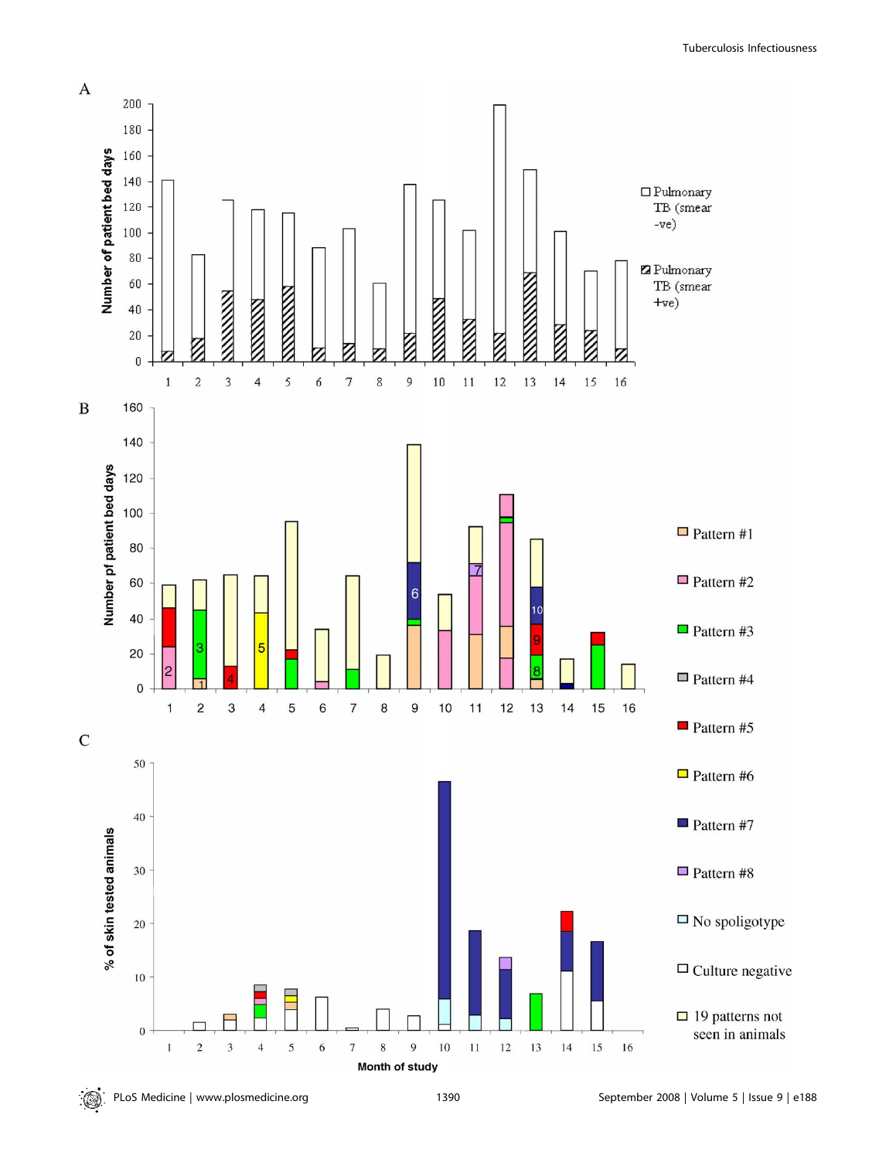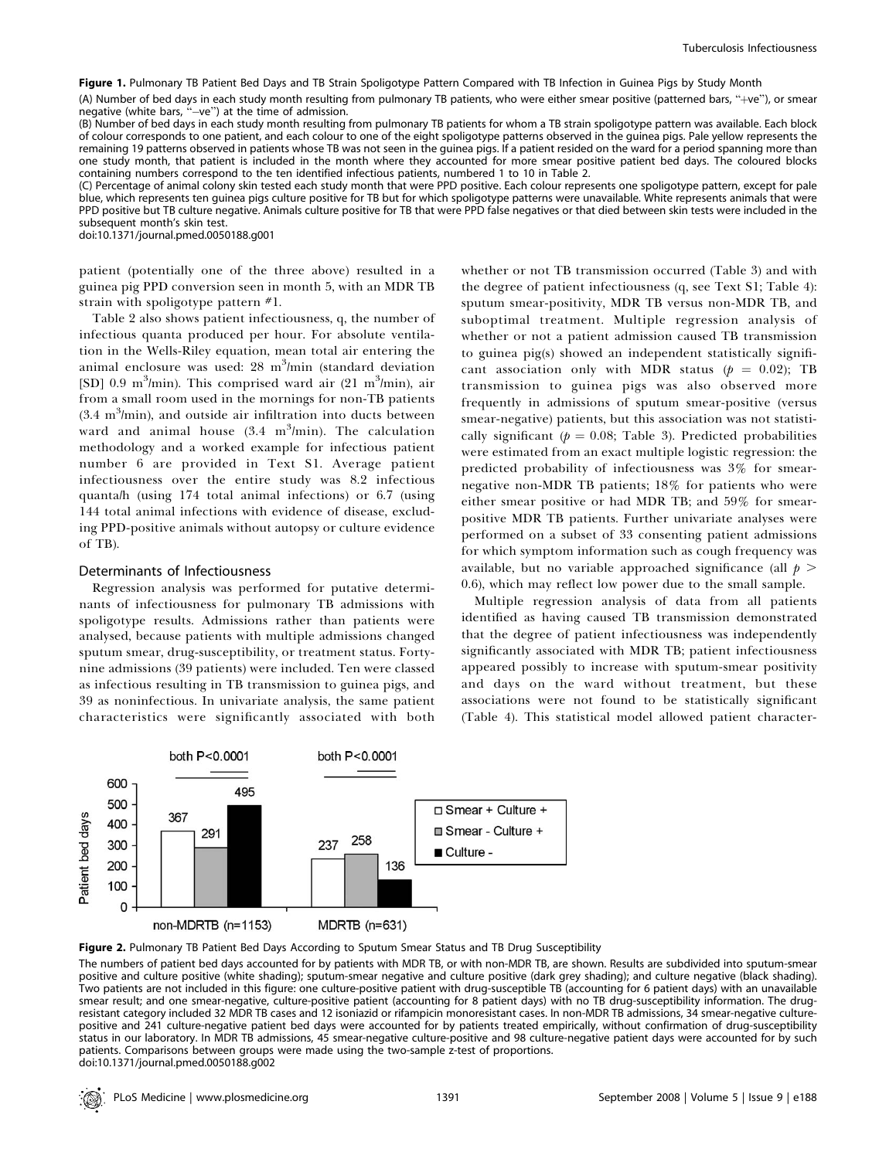Figure 1. Pulmonary TB Patient Bed Days and TB Strain Spoligotype Pattern Compared with TB Infection in Guinea Pigs by Study Month

(A) Number of bed days in each study month resulting from pulmonary TB patients, who were either smear positive (patterned bars, ''þve''), or smear negative (white bars, "-ve") at the time of admission.

(B) Number of bed days in each study month resulting from pulmonary TB patients for whom <sup>a</sup> TB strain spoligotype pattern was available. Each block of colour corresponds to one patient, and each colour to one of the eight spoligotype patterns observed in the guinea pigs. Pale yellow represents the remaining 19 patterns observed in patients whose TB was not seen in the guinea pigs. If <sup>a</sup> patient resided on the ward for <sup>a</sup> period spanning more than one study month, that patient is included in the month where they accounted for more smear positive patient bed days. The coloured blocks containing numbers correspond to the ten identified infectious patients, numbered 1 to 10 in Table 2.

(C) Percentage of animal colony skin tested each study month that were PPD positive. Each colour represents one spoligotype pattern, except for pale blue, which represents ten guinea pigs culture positive for TB but for which spoligotype patterns were unavailable. White represents animals that were PPD positive but TB culture negative. Animals culture positive for TB that were PPD false negatives or that died between skin tests were included in the subsequent month's skin test.

doi:10.1371/journal.pmed.0050188.g001

patient (potentially one of the three above) resulted in <sup>a</sup> guinea pig PPD conversion seen in month 5, with an MDR TB strain with spoligotype pattern #1.

Table 2 also shows patient infectiousness, q, the number of infectious quanta produced per hour. For absolute ventilation in the Wells-Riley equation, mean total air entering the animal enclosure was used:  $28 \text{ m}^3/\text{min}$  (standard deviation [SD] 0.9 m<sup>3</sup>/min). This comprised ward air  $(21 \text{ m}^3/\text{min})$ , air from <sup>a</sup> small room used in the mornings for non-TB patients  $(3.4 \text{ m}^3/\text{min})$ , and outside air infiltration into ducts between ward and animal house  $(3.4 \text{ m}^3/\text{min})$ . The calculation methodology and <sup>a</sup> worked example for infectious patient number 6 are provided in Text S1. Average patient infectiousness over the entire study was 8.2 infectious quanta/h (using 174 total animal infections) or 6.7 (using 144 total animal infections with evidence of disease, excluding PPD-positive animals without autopsy or culture evidence of TB).

### Determinants of Infectiousness

Regression analysis was performed for putative determinants of infectiousness for pulmonary TB admissions with spoligotype results. Admissions rather than patients were analysed, because patients with multiple admissions changed sputum smear, drug-susceptibility, or treatment status. Fortynine admissions (39 patients) were included. Ten were classed as infectious resulting in TB transmission to guinea pigs, and 39 as noninfectious. In univariate analysis, the same patient characteristics were significantly associated with both whether or not TB transmission occurred (Table 3) and with the degree of patient infectiousness (q, see Text S1; Table 4): sputum smear-positivity, MDR TB versus non-MDR TB, and suboptimal treatment. Multiple regression analysis of whether or not <sup>a</sup> patient admission caused TB transmission to guinea pig(s) showed an independent statistically significant association only with MDR status ( $p = 0.02$ ); TB transmission to guinea pigs was also observed more frequently in admissions of sputum smear-positive (versus smear-negative) patients, but this association was not statistically significant ( $p = 0.08$ ; Table 3). Predicted probabilities were estimated from an exact multiple logistic regression: the predicted probability of infectiousness was 3% for smearnegative non-MDR TB patients; 18% for patients who were either smear positive or had MDR TB; and 59% for smearpositive MDR TB patients. Further univariate analyses were performed on <sup>a</sup> subset of 33 consenting patient admissions for which symptom information such as cough frequency was available, but no variable approached significance (all  $p >$ 0.6), which may reflect low power due to the small sample.

Multiple regression analysis of data from all patients identified as having caused TB transmission demonstrated that the degree of patient infectiousness was independently significantly associated with MDR TB; patient infectiousness appeared possibly to increase with sputum-smear positivity and days on the ward without treatment, but these associations were not found to be statistically significant (Table 4). This statistical model allowed patient character-



Figure 2. Pulmonary TB Patient Bed Days According to Sputum Smear Status and TB Drug Susceptibility

The numbers of patient bed days accounted for by patients with MDR TB, or with non-MDR TB, are shown. Results are subdivided into sputum-smear positive and culture positive (white shading); sputum-smear negative and culture positive (dark grey shading); and culture negative (black shading). Two patients are not included in this figure: one culture-positive patient with drug-susceptible TB (accounting for 6 patient days) with an unavailable smear result; and one smear-negative, culture-positive patient (accounting for 8 patient days) with no TB drug-susceptibility information. The drugresistant category included 32 MDR TB cases and 12 isoniazid or rifampicin monoresistant cases. In non-MDR TB admissions, 34 smear-negative culturepositive and 241 culture-negative patient bed days were accounted for by patients treated empirically, without confirmation of drug-susceptibility status in our laboratory. In MDR TB admissions, 45 smear-negative culture-positive and 98 culture-negative patient days were accounted for by such patients. Comparisons between groups were made using the two-sample z-test of proportions. doi:10.1371/journal.pmed.0050188.g002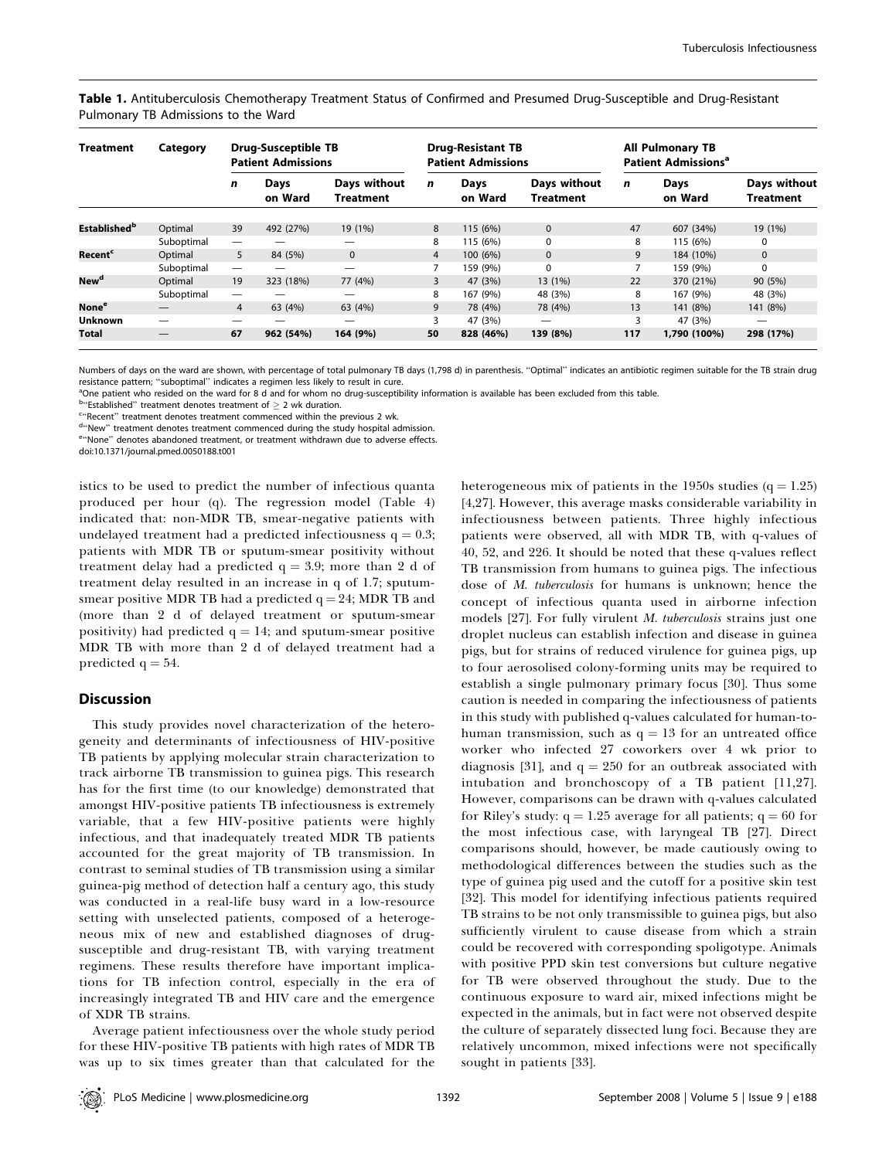Table 1. Antituberculosis Chemotherapy Treatment Status of Confirmed and Presumed Drug-Susceptible and Drug-Resistant Pulmonary TB Admissions to the Ward

| <b>Treatment</b>          | Category   | <b>Drug-Susceptible TB</b><br><b>Patient Admissions</b> |                 |                                  | <b>Drug-Resistant TB</b><br><b>Patient Admissions</b> |                 |                                  | <b>All Pulmonary TB</b><br>Patient Admissions <sup>a</sup> |                        |                                  |  |
|---------------------------|------------|---------------------------------------------------------|-----------------|----------------------------------|-------------------------------------------------------|-----------------|----------------------------------|------------------------------------------------------------|------------------------|----------------------------------|--|
|                           |            | n                                                       | Days<br>on Ward | Days without<br><b>Treatment</b> | n                                                     | Days<br>on Ward | Days without<br><b>Treatment</b> | $\mathbf n$                                                | <b>Days</b><br>on Ward | Days without<br><b>Treatment</b> |  |
| Established <sup>b</sup>  | Optimal    | 39                                                      | 492 (27%)       | 19 (1%)                          | 8                                                     | 115 (6%)        | $\Omega$                         | 47                                                         | 607 (34%)              | 19 (1%)                          |  |
|                           | Suboptimal |                                                         |                 | —                                | 8                                                     | 115 (6%)        | $\Omega$                         | 8                                                          | 115 (6%)               | $\Omega$                         |  |
| <b>Recent<sup>c</sup></b> | Optimal    | 5                                                       | 84 (5%)         | $\Omega$                         | $\overline{4}$                                        | 100 (6%)        | $\Omega$                         | 9                                                          | 184 (10%)              | $\mathbf{0}$                     |  |
|                           | Suboptimal | $\overline{\phantom{m}}$                                |                 | —                                |                                                       | 159 (9%)        | 0                                |                                                            | 159 (9%)               | $\mathbf 0$                      |  |
| New <sup>d</sup>          | Optimal    | 19                                                      | 323 (18%)       | 77 (4%)                          | 3                                                     | 47 (3%)         | 13 (1%)                          | 22                                                         | 370 (21%)              | 90 (5%)                          |  |
|                           | Suboptimal |                                                         |                 | —                                | 8                                                     | 167 (9%)        | 48 (3%)                          | 8                                                          | 167 (9%)               | 48 (3%)                          |  |
| None <sup>e</sup>         |            | $\overline{4}$                                          | 63 (4%)         | 63 (4%)                          | 9                                                     | 78 (4%)         | 78 (4%)                          | 13                                                         | 141 (8%)               | 141 (8%)                         |  |
| <b>Unknown</b>            |            |                                                         |                 | —                                | 3                                                     | 47 (3%)         |                                  | 3                                                          | 47 (3%)                | —                                |  |
| Total                     |            | 67                                                      | 962 (54%)       | 164 (9%)                         | 50                                                    | 828 (46%)       | 139 (8%)                         | 117                                                        | 1,790 (100%)           | 298 (17%)                        |  |

Numbers of days on the ward are shown, with percentage of total pulmonary TB days (1,798 d) in parenthesis. ''Optimal'' indicates an antibiotic regimen suitable for the TB strain drug resistance pattern; ''suboptimal'' indicates <sup>a</sup> regimen less likely to result in cure.

<sup>a</sup>One patient who resided on the ward for 8 d and for whom no drug-susceptibility information is available has been excluded from this table.

 $^{\text{b}}$ "Established" treatment denotes treatment of  $\geq$  2 wk duration.

<sup>c</sup>''Recent'' treatment denotes treatment commenced within the previous 2 wk.

<sup>d</sup>"New" treatment denotes treatment commenced during the study hospital admission.

<sup>e</sup>''None'' denotes abandoned treatment, or treatment withdrawn due to adverse effects.

doi:10.1371/journal.pmed.0050188.t001

istics to be used to predict the number of infectious quanta produced per hour (q). The regression model (Table 4) indicated that: non-MDR TB, smear-negative patients with undelayed treatment had a predicted infectiousness  $q = 0.3$ ; patients with MDR TB or sputum-smear positivity without treatment delay had a predicted  $q = 3.9$ ; more than 2 d of treatment delay resulted in an increase in <sup>q</sup> of 1.7; sputumsmear positive MDR TB had a predicted  $q = 24$ ; MDR TB and (more than 2 d of delayed treatment or sputum-smear positivity) had predicted  $q = 14$ ; and sputum-smear positive MDR TB with more than 2 d of delayed treatment had <sup>a</sup> predicted  $q = 54$ .

# **Discussion**

This study provides novel characterization of the heterogeneity and determinants of infectiousness of HIV-positive TB patients by applying molecular strain characterization to track airborne TB transmission to guinea pigs. This research has for the first time (to our knowledge) demonstrated that amongs<sup>t</sup> HIV-positive patients TB infectiousness is extremely variable, that <sup>a</sup> few HIV-positive patients were highly infectious, and that inadequately treated MDR TB patients accounted for the grea<sup>t</sup> majority of TB transmission. In contrast to seminal studies of TB transmission using <sup>a</sup> similar guinea-pig method of detection half <sup>a</sup> century ago, this study was conducted in <sup>a</sup> real-life busy ward in <sup>a</sup> low-resource setting with unselected patients, composed of <sup>a</sup> heterogeneous mix of new and established diagnoses of drugsusceptible and drug-resistant TB, with varying treatment regimens. These results therefore have important implications for TB infection control, especially in the era of increasingly integrated TB and HIV care and the emergence of XDR TB strains.

Average patient infectiousness over the whole study period for these HIV-positive TB patients with high rates of MDR TB was up to six times greater than that calculated for the heterogeneous mix of patients in the 1950s studies  $(q = 1.25)$ [4,27]. However, this average masks considerable variability in infectiousness between patients. Three highly infectious patients were observed, all with MDR TB, with q-values of 40, 52, and 226. It should be noted that these q-values reflect TB transmission from humans to guinea pigs. The infectious dose of M. tuberculosis for humans is unknown; hence the concep<sup>t</sup> of infectious quanta used in airborne infection models [27]. For fully virulent M. tuberculosis strains just one droplet nucleus can establish infection and disease in guinea pigs, but for strains of reduced virulence for guinea pigs, up to four aerosolised colony-forming units may be required to establish <sup>a</sup> single pulmonary primary focus [30]. Thus some caution is needed in comparing the infectiousness of patients in this study with published q-values calculated for human-tohuman transmission, such as  $q = 13$  for an untreated office worker who infected 27 coworkers over <sup>4</sup> wk prior to diagnosis [31], and  $q = 250$  for an outbreak associated with intubation and bronchoscopy of <sup>a</sup> TB patient [11,27]. However, comparisons can be drawn with q-values calculated for Riley's study:  $q = 1.25$  average for all patients;  $q = 60$  for the most infectious case, with laryngeal TB [27]. Direct comparisons should, however, be made cautiously owing to methodological differences between the studies such as the type of guinea pig used and the cutoff for <sup>a</sup> positive skin test [32]. This model for identifying infectious patients required TB strains to be not only transmissible to guinea pigs, but also sufficiently virulent to cause disease from which <sup>a</sup> strain could be recovered with corresponding spoligotype. Animals with positive PPD skin test conversions but culture negative for TB were observed throughout the study. Due to the continuous exposure to ward air, mixed infections might be expected in the animals, but in fact were not observed despite the culture of separately dissected lung foci. Because they are relatively uncommon, mixed infections were not specifically sought in patients [33].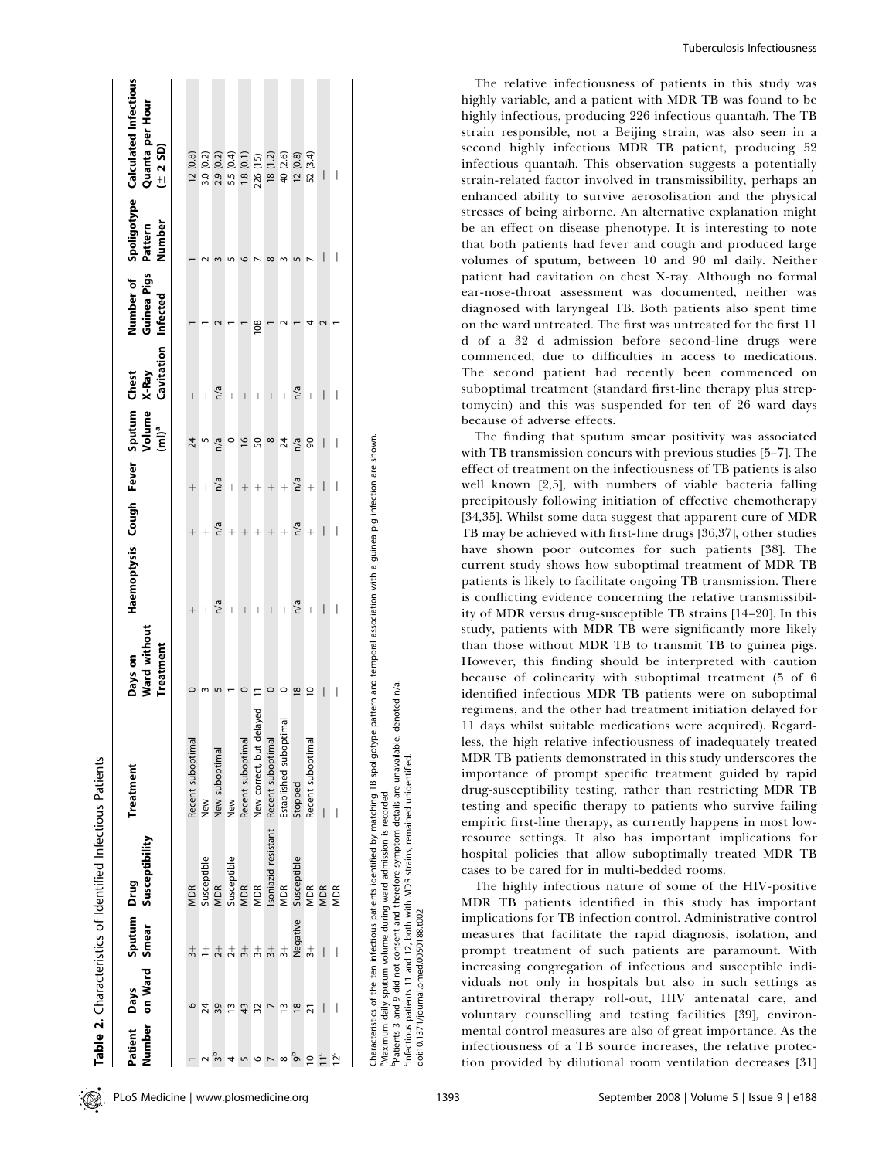| Patient Days                       |               | Sputum Drug   | Number on Ward Smear Susceptibility | Treatment                                                                                                                                                    | Ward without<br>Treatment<br>Days on | Haemoptysis Cough Fever Sputum<br>Volume<br><sub>(ml)</sub> a |                |                                |               | Cavitation Infected<br>X-Ray<br>Chest | Guinea Pigs | Number<br>Pattern | Number of Spoligotype Calculated Infectious<br>Quanta per Hour<br>$(1 + 2S)$ |
|------------------------------------|---------------|---------------|-------------------------------------|--------------------------------------------------------------------------------------------------------------------------------------------------------------|--------------------------------------|---------------------------------------------------------------|----------------|--------------------------------|---------------|---------------------------------------|-------------|-------------------|------------------------------------------------------------------------------|
|                                    | 6             | $\frac{1}{2}$ | <b>MDR</b>                          | Recent suboptimal                                                                                                                                            |                                      | $^{+}$                                                        |                | $^{+}$                         | 24            |                                       |             |                   | 12(0.8)                                                                      |
|                                    | 24            | $^{\pm}$      | Susceptible                         | New                                                                                                                                                          |                                      |                                                               |                |                                |               |                                       |             |                   | 3.0(0.2)                                                                     |
|                                    | 39            | $\frac{1}{2}$ | <b>MDR</b>                          | New suboptimal                                                                                                                                               |                                      | n/a                                                           | n/a            | n/a                            | n/a           | n/a                                   |             |                   | 2.9(0.2)                                                                     |
|                                    | ≅             | $\frac{1}{2}$ | Susceptible                         | New                                                                                                                                                          |                                      | I                                                             | $^{+}$         | $\begin{array}{c} \end{array}$ |               | $\begin{array}{c} \end{array}$        |             |                   | 5.5 (0.4)                                                                    |
|                                    | 43            | $\frac{1}{3}$ | <b>MDR</b>                          | Recent suboptimal                                                                                                                                            |                                      | $\overline{\phantom{a}}$                                      | $^{+}$         | $^{+}$                         | $\frac{8}{2}$ | $\overline{\phantom{a}}$              |             |                   | 1.8(0.1)                                                                     |
|                                    | 32            | $\frac{1}{2}$ | <b>MDR</b>                          | layed<br>New correct, but del                                                                                                                                |                                      |                                                               | $^{+}$         | $^{+}$                         | 50            | I                                     | 108         |                   | 226 (15)                                                                     |
|                                    |               | $\frac{1}{3}$ |                                     | Isoniazid resistant Recent suboptimal                                                                                                                        |                                      | $\overline{\phantom{a}}$                                      | $^{+}$         | $^{+}$                         | $\infty$      | $\begin{array}{c} \end{array}$        |             | $\infty$          | 18(1.2)                                                                      |
| ∞                                  | $\tilde{ }$   | $\frac{1}{2}$ | MDR<br>S                            | Established suboptimal                                                                                                                                       |                                      | I                                                             | $\overline{+}$ | $\ddot{}$                      | 24            | $\overline{\phantom{a}}$              |             |                   | 40 (2.6)                                                                     |
| م<br>م                             | $\frac{8}{2}$ | Negative      | Susceptible                         | Stopped                                                                                                                                                      | $\overline{\infty}$                  | n/a                                                           | n/a            | n/a                            | n/a           | n/a                                   |             |                   | 12(0.8)                                                                      |
| $\subseteq$                        | ಸ             | $\frac{1}{2}$ | <b>MDR</b>                          | Recent suboptimal                                                                                                                                            | $\supseteq$                          | I                                                             | $\ddot{}$      | $^{+}$                         | 8             | I                                     |             |                   | 52 (3.4)                                                                     |
|                                    | I             | I             | <b>MDR</b>                          |                                                                                                                                                              | I                                    | I                                                             | I              |                                | I             | I                                     |             |                   |                                                                              |
| 12 <sup>c</sup>                    |               |               | <b>MDR</b>                          |                                                                                                                                                              |                                      | I                                                             | I              |                                |               |                                       |             | I                 | I                                                                            |
|                                    |               |               |                                     |                                                                                                                                                              |                                      |                                                               |                |                                |               |                                       |             |                   |                                                                              |
| Balance and the state of the state |               |               |                                     | Characteristics of the ten infectious patients identified by matching TB spoligotype pattern and temporal association with a guinea pig infection are shown. |                                      |                                                               |                |                                |               |                                       |             |                   |                                                                              |

The relative infectiousness of patients in this study was highly variable, and <sup>a</sup> patient with MDR TB was found to be highly infectious, producing 226 infectious quanta/h. The TB strain responsible, not <sup>a</sup> Beijing strain, was also seen in <sup>a</sup> second highly infectious MDR TB patient, producing 52 infectious quanta/h. This observation suggests <sup>a</sup> potentially strain-related factor involved in transmissibility, perhaps an enhanced ability to survive aerosolisation and the physical stresses of being airborne. An alternative explanation might be an effect on disease phenotype. It is interesting to note that both patients had fever and cough and produced large volumes of sputum, between 10 and 90 ml daily. Neither patient had cavitation on chest X-ray. Although no formal ear-nose-throat assessment was documented, neither was diagnosed with laryngeal TB. Both patients also spen<sup>t</sup> time on the ward untreated. The first was untreated for the first 11d of <sup>a</sup> 32 d admission before second-line drugs were commenced, due to difficulties in access to medications. The second patient had recently been commenced on suboptimal treatment (standard first-line therapy plus streptomycin) and this was suspended for ten of 26 ward days because of adverse effects.

The finding that sputum smear positivity was associated with TB transmission concurs with previous studies [5–7]. The effect of treatment on the infectiousness of TB patients is also well known [2,5], with numbers of viable bacteria falling precipitously following initiation of effective chemotherapy [34,35]. Whilst some data sugges<sup>t</sup> that apparen<sup>t</sup> cure of MDR TB may be achieved with first-line drugs [36,37], other studies have shown poor outcomes for such patients [38]. The current study shows how suboptimal treatment of MDR TB patients is likely to facilitate ongoing TB transmission. There is conflicting evidence concerning the relative transmissibility of MDR versus drug-susceptible TB strains [14–20]. In this study, patients with MDR TB were significantly more likely than those without MDR TB to transmit TB to guinea pigs. However, this finding should be interpreted with caution because of colinearity with suboptimal treatment (5 of 6 identified infectious MDR TB patients were on suboptimal regimens, and the other had treatment initiation delayed for 11 days whilst suitable medications were acquired). Regardless, the high relative infectiousness of inadequately treated MDR TB patients demonstrated in this study underscores the importance of promp<sup>t</sup> specific treatment guided by rapid drug-susceptibility testing, rather than restricting MDR TB testing and specific therapy to patients who survive failing empiric first-line therapy, as currently happens in most lowresource settings. It also has important implications for hospital policies that allow suboptimally treated MDR TB cases to be cared for in multi-bedded rooms.

The highly infectious nature of some of the HIV-positive MDR TB patients identified in this study has important implications for TB infection control. Administrative control measures that facilitate the rapid diagnosis, isolation, and promp<sup>t</sup> treatment of such patients are paramount. With increasing congregation of infectious and susceptible individuals not only in hospitals but also in such settings as antiretroviral therapy roll-out, HIV antenatal care, and voluntary counselling and testing facilities [39], environ- $\frac{1}{2}$   $\frac{1}{2}$   $\frac{1}{2}$   $\frac{1}{2}$   $\frac{1}{2}$   $\frac{1}{2}$   $\frac{1}{2}$   $\frac{1}{2}$   $\frac{1}{2}$   $\frac{1}{2}$   $\frac{1}{2}$   $\frac{1}{2}$   $\frac{1}{2}$   $\frac{1}{2}$   $\frac{1}{2}$   $\frac{1}{2}$   $\frac{1}{2}$   $\frac{1}{2}$   $\frac{1}{2}$   $\frac{1}{2}$   $\frac{1}{2}$   $\frac{1}{2}$  infectiousness of <sup>a</sup> TB source increases, the relative protec-

Maximum daily sputum volume during ward admission is recorded.

Patients 3 and 9 did not consent and therefore symptom details are unavailable, denoted n/a Patients 3 and 9 did not consent and therefore symptom details are unavailable, denoted n/a.

Infectious patients 11 and 12, both with MDR strains, remained unidentified.

188.t002

both with MDR strains, remained unidentified

infectious

doi:10.1371/journal.pmed.0050188.t002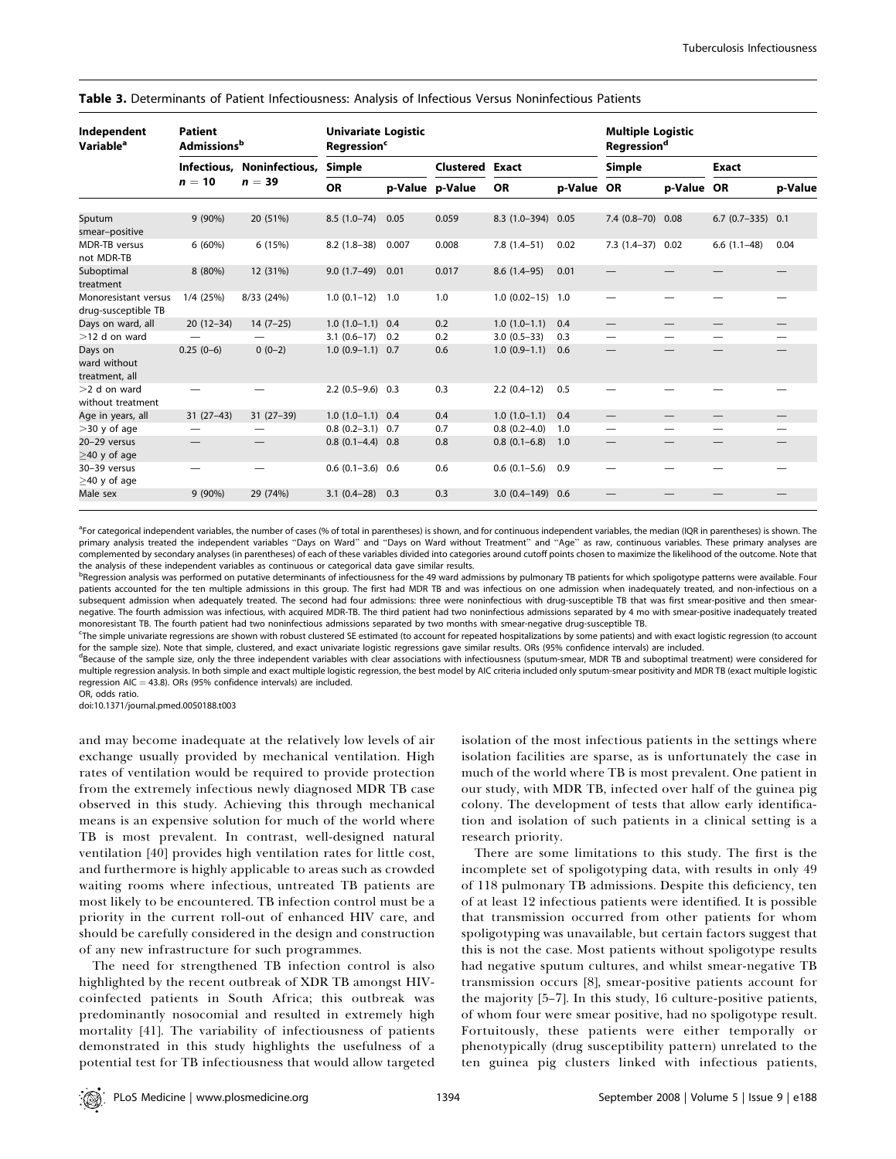| Table 3. Determinants of Patient Infectiousness: Analysis of Infectious Versus Noninfectious Patients |  |
|-------------------------------------------------------------------------------------------------------|--|
|-------------------------------------------------------------------------------------------------------|--|

| Independent<br>Variable <sup>a</sup>        | <b>Patient</b><br><b>Admissions</b> <sup>b</sup> |                            | <b>Univariate Logistic</b><br><b>Regression<sup>c</sup></b> |       |                        |                    | <b>Multiple Logistic</b><br><b>Regression<sup>d</sup></b> |                   |                          |                          |         |
|---------------------------------------------|--------------------------------------------------|----------------------------|-------------------------------------------------------------|-------|------------------------|--------------------|-----------------------------------------------------------|-------------------|--------------------------|--------------------------|---------|
|                                             |                                                  | Infectious, Noninfectious, | Simple                                                      |       | <b>Clustered Exact</b> |                    |                                                           | <b>Simple</b>     |                          | <b>Exact</b>             |         |
|                                             | $n=10$                                           | $n = 39$                   | <b>OR</b>                                                   |       | p-Value p-Value        | <b>OR</b>          | p-Value OR                                                |                   | p-Value OR               |                          | p-Value |
| Sputum<br>smear-positive                    | 9 (90%)                                          | 20 (51%)                   | $8.5(1.0-74)$                                               | 0.05  | 0.059                  | $8.3(1.0-394)$     | 0.05                                                      | 7.4 (0.8-70) 0.08 |                          | $6.7(0.7-335)$ 0.1       |         |
| <b>MDR-TB</b> versus<br>not MDR-TB          | $6(60\%)$                                        | 6 (15%)                    | $8.2(1.8-38)$                                               | 0.007 | 0.008                  | $7.8(1.4-51)$      | 0.02                                                      | $7.3(1.4-37)0.02$ |                          | $6.6(1.1-48)$            | 0.04    |
| Suboptimal<br>treatment                     | 8 (80%)                                          | 12 (31%)                   | $9.0(1.7-49)$                                               | 0.01  | 0.017                  | $8.6(1.4-95)$      | 0.01                                                      |                   |                          |                          |         |
| Monoresistant versus<br>drug-susceptible TB | $1/4$ (25%)                                      | 8/33 (24%)                 | $1.0(0.1-12)$                                               | 1.0   | 1.0                    | $1.0(0.02-15)$ 1.0 |                                                           |                   |                          |                          |         |
| Days on ward, all                           | $20(12-34)$                                      | $14(7-25)$                 | $1.0(1.0-1.1)$ 0.4                                          |       | 0.2                    | $1.0(1.0-1.1)$     | 0.4                                                       |                   | $\overline{\phantom{0}}$ | $\overline{\phantom{0}}$ |         |
| $>12$ d on ward                             |                                                  |                            | $3.1(0.6-17)$                                               | 0.2   | 0.2                    | $3.0(0.5-33)$      | 0.3                                                       |                   | $\overline{\phantom{0}}$ | $\overline{\phantom{0}}$ |         |
| Days on<br>ward without<br>treatment, all   | $0.25(0-6)$                                      | $0(0-2)$                   | $1.0(0.9-1.1)$ 0.7                                          |       | 0.6                    | $1.0(0.9-1.1)$     | 0.6                                                       |                   |                          |                          |         |
| $>2$ d on ward<br>without treatment         |                                                  |                            | $2.2(0.5-9.6)$                                              | 0.3   | 0.3                    | $2.2(0.4-12)$      | 0.5                                                       |                   |                          |                          |         |
| Age in years, all                           | $31(27-43)$                                      | $31(27-39)$                | $1.0(1.0-1.1)$ 0.4                                          |       | 0.4                    | $1.0(1.0-1.1)$     | 0.4                                                       |                   | —                        |                          |         |
| $>$ 30 y of age                             |                                                  |                            | $0.8(0.2 - 3.1)$                                            | 0.7   | 0.7                    | $0.8(0.2 - 4.0)$   | 1.0                                                       |                   | $\overline{\phantom{0}}$ |                          |         |
| 20-29 versus<br>$>40$ y of age              |                                                  |                            | $0.8(0.1-4.4)$                                              | 0.8   | 0.8                    | $0.8(0.1-6.8)$     | 1.0                                                       |                   |                          |                          |         |
| 30-39 versus<br>$>40$ y of age              |                                                  |                            | $0.6(0.1-3.6)$                                              | 0.6   | 0.6                    | $0.6(0.1-5.6)$     | 0.9                                                       |                   |                          |                          |         |
| Male sex                                    | 9 (90%)                                          | 29 (74%)                   | $3.1(0.4-28)$                                               | 0.3   | 0.3                    | $3.0(0.4-149)0.6$  |                                                           |                   |                          |                          |         |

<sup>a</sup>For categorical independent variables, the number of cases (% of total in parentheses) is shown, and for continuous independent variables, the median (IQR in parentheses) is shown. The primary analysis treated the independent variables "Days on Ward" and "Days on Ward without Treatment" and "Age" as raw, continuous variables. These primary analyses are complemented by secondary analyses (in parentheses) of each of these variables divided into categories around cutoff points chosen to maximize the likelihood of the outcome. Note that the analysis of these independent variables as continuous or categorical data gave similar results.

<sup>b</sup>Regression analysis was performed on putative determinants of infectiousness for the 49 ward admissions by pulmonary TB patients for which spoligotype patterns were available. Four patients accounted for the ten multiple admissions in this group. The first had MDR TB and was infectious on one admission when inadequately treated, and non-infectious on a subsequent admission when adequately treated. The second had four admissions: three were noninfectious with drug-susceptible TB that was first smear-positive and then smearnegative. The fourth admission was infectious, with acquired MDR-TB. The third patient had two noninfectious admissions separated by <sup>4</sup> mo with smear-positive inadequately treated monoresistant TB. The fourth patient had two noninfectious admissions separated by two months with smear-negative drug-susceptible TB.

cThe simple univariate regressions are shown with robust clustered SE estimated (to account for repeated hospitalizations by some patients) and with exact logistic regression (to account for the sample size). Note that simple, clustered, and exact univariate logistic regressions gave similar results. ORs (95% confidence intervals) are included.

<sup>d</sup>Because of the sample size, only the three independent variables with clear associations with infectiousness (sputum-smear, MDR TB and suboptimal treatment) were considered for multiple regression analysis. In both simple and exact multiple logistic regression, the best model by AIC criteria included only sputum-smear positivity and MDR TB (exact multiple logistic regression AIC = 43.8). ORs (95% confidence intervals) are included. OR, odds ratio.

doi:10.1371/journal.pmed.0050188.t003

and may become inadequate at the relatively low levels of air exchange usually provided by mechanical ventilation. High rates of ventilation would be required to provide protection from the extremely infectious newly diagnosed MDR TB case observed in this study. Achieving this through mechanical means is an expensive solution for much of the world where TB is most prevalent. In contrast, well-designed natural ventilation [40] provides high ventilation rates for little cost, and furthermore is highly applicable to areas such as crowded waiting rooms where infectious, untreated TB patients are most likely to be encountered. TB infection control must be <sup>a</sup> priority in the current roll-out of enhanced HIV care, and should be carefully considered in the design and construction of any new infrastructure for such programmes.

The need for strengthened TB infection control is also highlighted by the recent outbreak of XDR TB amongs<sup>t</sup> HIVcoinfected patients in South Africa; this outbreak was predominantly nosocomial and resulted in extremely high mortality [41]. The variability of infectiousness of patients demonstrated in this study highlights the usefulness of <sup>a</sup> potential test for TB infectiousness that would allow targeted isolation of the most infectious patients in the settings where isolation facilities are sparse, as is unfortunately the case in much of the world where TB is most prevalent. One patient in our study, with MDR TB, infected over half of the guinea pig colony. The development of tests that allow early identification and isolation of such patients in <sup>a</sup> clinical setting is <sup>a</sup> research priority.

There are some limitations to this study. The first is the incomplete set of spoligotyping data, with results in only 49 of 118 pulmonary TB admissions. Despite this deficiency, ten of at least 12 infectious patients were identified. It is possible that transmission occurred from other patients for whom spoligotyping was unavailable, but certain factors sugges<sup>t</sup> that this is not the case. Most patients without spoligotype results had negative sputum cultures, and whilst smear-negative TB transmission occurs [8], smear-positive patients account for the majority [5–7]. In this study, <sup>16</sup> culture-positive patients, of whom four were smear positive, had no spoligotype result. Fortuitously, these patients were either temporally or phenotypically (drug susceptibility pattern) unrelated to the ten guinea pig clusters linked with infectious patients,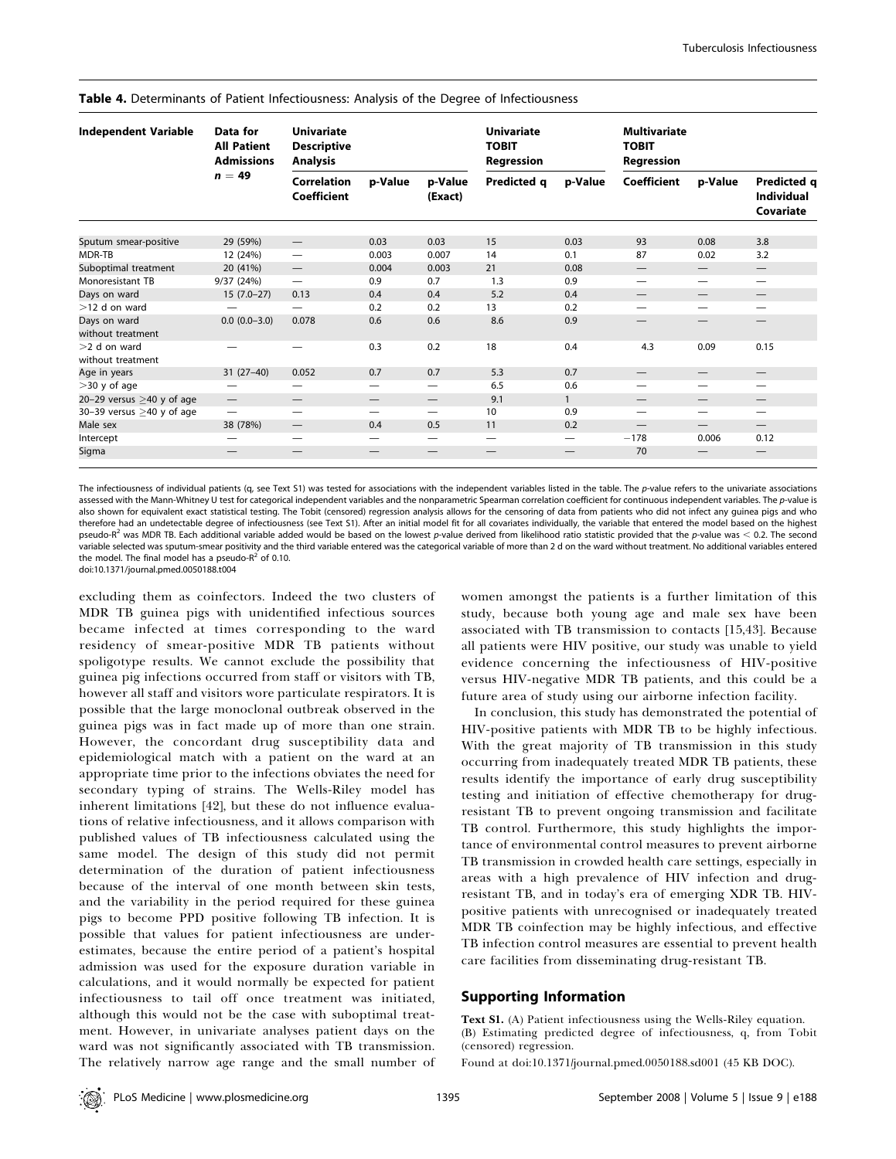| <b>Independent Variable</b>         | Data for<br><b>All Patient</b><br><b>Admissions</b> | <b>Univariate</b><br><b>Descriptive</b><br><b>Analysis</b> |                                 |                                | <b>Univariate</b><br><b>TOBIT</b><br>Regression |                   | Multivariate<br><b>TOBIT</b><br>Regression |                          |                                               |
|-------------------------------------|-----------------------------------------------------|------------------------------------------------------------|---------------------------------|--------------------------------|-------------------------------------------------|-------------------|--------------------------------------------|--------------------------|-----------------------------------------------|
|                                     | $n = 49$                                            | <b>Correlation</b><br><b>Coefficient</b>                   | p-Value                         | p-Value<br>(Exact)             | Predicted q                                     | p-Value           | Coefficient                                | p-Value                  | Predicted q<br><b>Individual</b><br>Covariate |
| Sputum smear-positive               | 29 (59%)                                            | $\qquad \qquad -$                                          | 0.03                            | 0.03                           | 15                                              | 0.03              | 93                                         | 0.08                     | 3.8                                           |
| MDR-TB                              | 12 (24%)                                            |                                                            | 0.003                           | 0.007                          | 14                                              | 0.1               | 87                                         | 0.02                     | 3.2                                           |
| Suboptimal treatment                | 20 (41%)                                            | $\qquad \qquad -$                                          | 0.004                           | 0.003                          | 21                                              | 0.08              | $\hspace{0.1mm}-\hspace{0.1mm}$            |                          | $\overbrace{\phantom{13333}}$                 |
| Monoresistant TB                    | 9/37 (24%)                                          | $\overline{\phantom{0}}$                                   | 0.9                             | 0.7                            | 1.3                                             | 0.9               |                                            |                          | $\overline{\phantom{0}}$                      |
| Days on ward                        | $15(7.0-27)$                                        | 0.13                                                       | 0.4                             | 0.4                            | 5.2                                             | 0.4               | $\hspace{0.1mm}-\hspace{0.1mm}$            | $\qquad \qquad$          | $\hspace{0.1mm}-\hspace{0.1mm}$               |
| $>12$ d on ward                     |                                                     |                                                            | 0.2                             | 0.2                            | 13                                              | 0.2               |                                            |                          | $\overline{\phantom{0}}$                      |
| Days on ward<br>without treatment   | $0.0 (0.0 - 3.0)$                                   | 0.078                                                      | 0.6                             | 0.6                            | 8.6                                             | 0.9               |                                            | —                        | $\hspace{0.05cm}$                             |
| $>2$ d on ward<br>without treatment | —                                                   |                                                            | 0.3                             | 0.2                            | 18                                              | 0.4               | 4.3                                        | 0.09                     | 0.15                                          |
| Age in years                        | $31(27-40)$                                         | 0.052                                                      | 0.7                             | 0.7                            | 5.3                                             | 0.7               | $\hspace{0.1mm}-\hspace{0.1mm}$            | $\qquad \qquad$          | $\hspace{0.1mm}-\hspace{0.1mm}$               |
| $>$ 30 y of age                     | $\hspace{0.05cm}$                                   |                                                            | $\overline{\phantom{0}}$        |                                | 6.5                                             | 0.6               |                                            |                          | $\overline{\phantom{0}}$                      |
| 20-29 versus $\geq$ 40 y of age     | $\qquad \qquad$                                     |                                                            | $\hspace{0.1mm}-\hspace{0.1mm}$ | $\qquad \qquad \longleftarrow$ | 9.1                                             | $\mathbf{1}$      |                                            |                          |                                               |
| 30-39 versus $\geq$ 40 y of age     | $\overbrace{\phantom{1232211}}$                     |                                                            | $\overline{\phantom{0}}$        | $\overline{\phantom{0}}$       | 10                                              | 0.9               |                                            |                          | $\overline{\phantom{0}}$                      |
| Male sex                            | 38 (78%)                                            | $\qquad \qquad -$                                          | 0.4                             | 0.5                            | 11                                              | 0.2               |                                            | $\overline{\phantom{0}}$ | $\overline{\phantom{0}}$                      |
| Intercept                           | $\hspace{0.05cm}$                                   |                                                            |                                 | $\qquad \qquad \longleftarrow$ | $\overline{\phantom{0}}$                        | $\hspace{0.05cm}$ | $-178$                                     | 0.006                    | 0.12                                          |
| Sigma                               |                                                     | —                                                          |                                 |                                | $\hspace{0.1mm}-\hspace{0.1mm}$                 |                   | 70                                         |                          |                                               |

Table 4. Determinants of Patient Infectiousness: Analysis of the Degree of Infectiousness

The infectiousness of individual patients (q, see Text S1) was tested for associations with the independent variables listed in the table. The p-value refers to the univariate associations assessed with the Mann-Whitney U test for categorical independent variables and the nonparametric Spearman correlation coefficient for continuous independent variables. The p-value is also shown for equivalent exact statistical testing. The Tobit (censored) regression analysis allows for the censoring of data from patients who did not infect any quinea pigs and who therefore had an undetectable degree of infectiousness (see Text S1). After an initial model fit for all covariates individually, the variable that entered the model based on the highest pseudo-R<sup>2</sup> was MDR TB. Each additional variable added would be based on the lowest p-value derived from likelihood ratio statistic provided that the p-value was  $<$  0.2. The second variable selected was sputum-smear positivity and the third variable entered was the categorical variable of more than 2 d on the ward without treatment. No additional variables entered the model. The final model has a pseudo- $R^2$  of 0.10.

doi:10.1371/journal.pmed.0050188.t004

excluding them as coinfectors. Indeed the two clusters of MDR TB guinea pigs with unidentified infectious sources became infected at times corresponding to the ward residency of smear-positive MDR TB patients without spoligotype results. We cannot exclude the possibility that guinea pig infections occurred from staff or visitors with TB, however all staff and visitors wore particulate respirators. It is possible that the large monoclonal outbreak observed in the guinea pigs was in fact made up of more than one strain. However, the concordant drug susceptibility data and epidemiological match with <sup>a</sup> patient on the ward at an appropriate time prior to the infections obviates the need for secondary typing of strains. The Wells-Riley model has inherent limitations [42], but these do not influence evaluations of relative infectiousness, and it allows comparison with published values of TB infectiousness calculated using the same model. The design of this study did not permit determination of the duration of patient infectiousness because of the interval of one month between skin tests, and the variability in the period required for these guinea pigs to become PPD positive following TB infection. It is possible that values for patient infectiousness are underestimates, because the entire period of <sup>a</sup> patient's hospital admission was used for the exposure duration variable in calculations, and it would normally be expected for patient infectiousness to tail off once treatment was initiated, although this would not be the case with suboptimal treatment. However, in univariate analyses patient days on the ward was not significantly associated with TB transmission. The relatively narrow age range and the small number of women amongs<sup>t</sup> the patients is <sup>a</sup> further limitation of this study, because both young age and male sex have been associated with TB transmission to contacts [15,43]. Because all patients were HIV positive, our study was unable to yield evidence concerning the infectiousness of HIV-positive versus HIV-negative MDR TB patients, and this could be <sup>a</sup> future area of study using our airborne infection facility.

In conclusion, this study has demonstrated the potential of HIV-positive patients with MDR TB to be highly infectious. With the grea<sup>t</sup> majority of TB transmission in this study occurring from inadequately treated MDR TB patients, these results identify the importance of early drug susceptibility testing and initiation of effective chemotherapy for drugresistant TB to preven<sup>t</sup> ongoing transmission and facilitate TB control. Furthermore, this study highlights the importance of environmental control measures to preven<sup>t</sup> airborne TB transmission in crowded health care settings, especially in areas with <sup>a</sup> high prevalence of HIV infection and drugresistant TB, and in today's era of emerging XDR TB. HIVpositive patients with unrecognised or inadequately treated MDR TB coinfection may be highly infectious, and effective TB infection control measures are essential to preven<sup>t</sup> health care facilities from disseminating drug-resistant TB.

# Supporting Information

**Text S1.** (A) Patient infectiousness using the Wells-Riley equation. (B) Estimating predicted degree of infectiousness, q, from Tobit (censored) regression.

Found at doi:10.1371/journal.pmed.0050188.sd001 (45 KB DOC).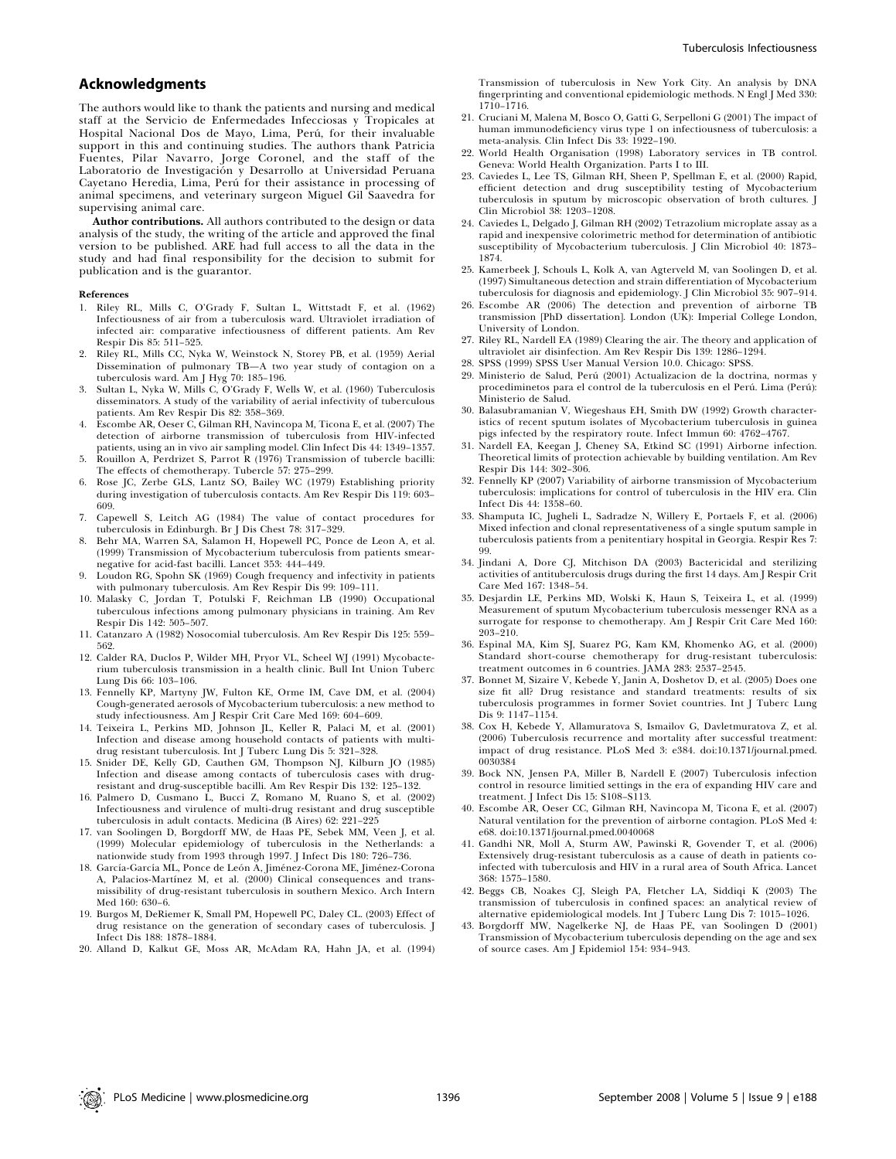# Acknowledgments

The authors would like to thank the patients and nursing and medical staff at the Servicio de Enfermedades Infecciosas y Tropicales at Hospital Nacional Dos de Mayo, Lima, Perú, for their invaluable suppor<sup>t</sup> in this and continuing studies. The authors thank Patricia Fuentes, Pilar Navarro, Jorge Coronel, and the staff of the Laboratorio de Investigación y Desarrollo at Universidad Peruana Cayetano Heredia, Lima, Perú for their assistance in processing of animal specimens, and veterinary surgeon Miguel Gil Saavedra for supervising animal care.

**Author contributions.** All authors contributed to the design or data analysis of the study, the writing of the article and approved the final version to be published. ARE had full access to all the data in the study and had final responsibility for the decision to submit for publication and is the guarantor.

#### References

- 1. Riley RL, Mills C, O'Grady F, Sultan L, Wittstadt F, et al. (1962) Infectiousness of air from <sup>a</sup> tuberculosis ward. Ultraviolet irradiation of infected air: comparative infectiousness of different patients. Am Rev Respir Dis 85: 511–525.
- 2. Riley RL, Mills CC, Nyka W, Weinstock N, Storey PB, et al. (1959) Aerial Dissemination of pulmonary TB—A two year study of contagion on <sup>a</sup> tuberculosis ward. Am J Hyg 70: 185–196.
- 3. Sultan L, Nyka W, Mills C, O'Grady F, Wells W, et al. (1960) Tuberculosis disseminators. A study of the variability of aerial infectivity of tuberculous patients. Am Rev Respir Dis 82: 358–369.
- 4. Escombe AR, Oeser C, Gilman RH, Navincopa M, Ticona E, et al. (2007) The detection of airborne transmission of tuberculosis from HIV-infected patients, using an in vivo air sampling model. Clin Infect Dis 44: 1349–1357.
- 5. Rouillon A, Perdrizet S, Parrot <sup>R</sup> (1976) Transmission of tubercle bacilli: The effects of chemotherapy. Tubercle 57: 275–299.
- Rose JC, Zerbe GLS, Lantz SO, Bailey WC (1979) Establishing priority during investigation of tuberculosis contacts. Am Rev Respir Dis 119: 603– 609.
- 7. Capewell S, Leitch AG (1984) The value of contact procedures for tuberculosis in Edinburgh. Br J Dis Chest 78: 317–329.
- 8. Behr MA, Warren SA, Salamon H, Hopewell PC, Ponce de Leon A, et al. (1999) Transmission of Mycobacterium tuberculosis from patients smearnegative for acid-fast bacilli. Lancet 353: 444–449.
- 9. Loudon RG, Spohn SK (1969) Cough frequency and infectivity in patients with pulmonary tuberculosis. Am Rev Respir Dis 99: 109–111.
- 10. Malasky C, Jordan T, Potulski F, Reichman LB (1990) Occupational tuberculous infections among pulmonary physicians in training. Am Rev Respir Dis 142: 505–507.
- 11. Catanzaro <sup>A</sup> (1982) Nosocomial tuberculosis. Am Rev Respir Dis 125: 559– 562.
- 12. Calder RA, Duclos P, Wilder MH, Pryor VL, Scheel WJ (1991) Mycobacterium tuberculosis transmission in <sup>a</sup> health clinic. Bull Int Union Tuberc Lung Dis 66: 103–106.
- 13. Fennelly KP, Martyny JW, Fulton KE, Orme IM, Cave DM, et al. (2004) Cough-generated aerosols of Mycobacterium tuberculosis: <sup>a</sup> new method to study infectiousness. Am J Respir Crit Care Med 169: 604–609.
- 14. Teixeira L, Perkins MD, Johnson JL, Keller R, Palaci M, et al. (2001) Infection and disease among household contacts of patients with multidrug resistant tuberculosis. Int J Tuberc Lung Dis 5: 321–328.
- 15. Snider DE, Kelly GD, Cauthen GM, Thompson NJ, Kilburn JO (1985) Infection and disease among contacts of tuberculosis cases with drugresistant and drug-susceptible bacilli. Am Rev Respir Dis 132: 125–132.
- 16. Palmero D, Cusmano L, Bucci Z, Romano M, Ruano S, et al. (2002) Infectiousness and virulence of multi-drug resistant and drug susceptible tuberculosis in adult contacts. Medicina (B Aires) 62: 221–225
- 17. van Soolingen D, Borgdorff MW, de Haas PE, Sebek MM, Veen J, et al. (1999) Molecular epidemiology of tuberculosis in the Netherlands: <sup>a</sup> nationwide study from <sup>1993</sup> through 1997. J Infect Dis 180: 726–736.
- 18. García-García ML, Ponce de León A, Jiménez-Corona ME, Jiménez-Corona A, Palacios-Martínez M, et al. (2000) Clinical consequences and transmissibility of drug-resistant tuberculosis in southern Mexico. Arch Intern Med 160: 630–6.
- 19. Burgos M, DeRiemer K, Small PM, Hopewell PC, Daley CL. (2003) Effect of drug resistance on the generation of secondary cases of tuberculosis. J Infect Dis 188: 1878–1884.
- 20. Alland D, Kalkut GE, Moss AR, McAdam RA, Hahn JA, et al. (1994)

Transmission of tuberculosis in New York City. An analysis by DNA fingerprinting and conventional epidemiologic methods. N Engl J Med 330: 1710–1716.

- 21. Cruciani M, Malena M, Bosco O, Gatti G, Serpelloni G (2001) The impact of human immunodeficiency virus type 1 on infectiousness of tuberculosis: <sup>a</sup> meta-analysis. Clin Infect Dis 33: 1922–190.
- 22. World Health Organisation (1998) Laboratory services in TB control. Geneva: World Health Organization. Parts <sup>I</sup> to III.
- 23. Caviedes L, Lee TS, Gilman RH, Sheen P, Spellman E, et al. (2000) Rapid, efficient detection and drug susceptibility testing of Mycobacterium tuberculosis in sputum by microscopic observation of broth cultures. J Clin Microbiol 38: 1203–1208.
- 24. Caviedes L, Delgado J, Gilman RH (2002) Tetrazolium microplate assay as <sup>a</sup> rapid and inexpensive colorimetric method for determination of antibiotic susceptibility of Mycobacterium tuberculosis. J Clin Microbiol 40: 1873– 1874.
- 25. Kamerbeek J, Schouls L, Kolk A, van Agterveld M, van Soolingen D, et al. (1997) Simultaneous detection and strain differentiation of Mycobacterium tuberculosis for diagnosis and epidemiology. J Clin Microbiol 35: 907–914.
- 26. Escombe AR (2006) The detection and prevention of airborne TB transmission [PhD dissertation]. London (UK): Imperial College London, University of London.
- 27. Riley RL, Nardell EA (1989) Clearing the air. The theory and application of ultraviolet air disinfection. Am Rev Respir Dis 139: 1286–1294.
- 28. SPSS (1999) SPSS User Manual Version 10.0. Chicago: SPSS.
- 29. Ministerio de Salud, Perú (2001) Actualizacion de la doctrina, normas y procediminetos para el control de la tuberculosis en el Perú. Lima (Perú): Ministerio de Salud.
- 30. Balasubramanian V, Wiegeshaus EH, Smith DW (1992) Growth characteristics of recent sputum isolates of Mycobacterium tuberculosis in guinea pigs infected by the respiratory route. Infect Immun 60: 4762–4767.
- 31. Nardell EA, Keegan J, Cheney SA, Etkind SC (1991) Airborne infection. Theoretical limits of protection achievable by building ventilation. Am Rev Respir Dis 144: 302–306.
- 32. Fennelly KP (2007) Variability of airborne transmission of Mycobacterium tuberculosis: implications for control of tuberculosis in the HIV era. Clin Infect Dis 44: 1358–60.
- 33. Shamputa IC, Jugheli L, Sadradze N, Willery E, Portaels F, et al. (2006) Mixed infection and clonal representativeness of <sup>a</sup> single sputum sample in tuberculosis patients from <sup>a</sup> penitentiary hospital in Georgia. Respir Res 7: 99.
- 34. Jindani A, Dore CJ, Mitchison DA (2003) Bactericidal and sterilizing activities of antituberculosis drugs during the first 14 days. Am J Respir Crit Care Med 167: 1348–54.
- 35. Desjardin LE, Perkins MD, Wolski K, Haun S, Teixeira L, et al. (1999) Measurement of sputum Mycobacterium tuberculosis messenger RNA as <sup>a</sup> surrogate for response to chemotherapy. Am J Respir Crit Care Med 160: 203–210.
- 36. Espinal MA, Kim SJ, Suarez PG, Kam KM, Khomenko AG, et al. (2000) Standard short-course chemotherapy for drug-resistant tuberculosis: treatment outcomes in <sup>6</sup> countries. JAMA 283: 2537–2545.
- 37. Bonnet M, Sizaire V, Kebede Y, Janin A, Doshetov D, et al. (2005) Does one size fit all? Drug resistance and standard treatments: results of six tuberculosis programmes in former Soviet countries. Int J Tuberc Lung Dis 9: 1147–1154.
- 38. Cox H, Kebede Y, Allamuratova S, Ismailov G, Davletmuratova Z, et al. (2006) Tuberculosis recurrence and mortality after successful treatment: impact of drug resistance. PLoS Med 3: e384. doi:10.1371/journal.pmed. 0030384
- 39. Bock NN, Jensen PA, Miller B, Nardell <sup>E</sup> (2007) Tuberculosis infection control in resource limitied settings in the era of expanding HIV care and treatment. J Infect Dis 15: S108–S113.
- 40. Escombe AR, Oeser CC, Gilman RH, Navincopa M, Ticona E, et al. (2007) Natural ventilation for the prevention of airborne contagion. PLoS Med 4: e68. doi:10.1371/journal.pmed.0040068
- 41. Gandhi NR, Moll A, Sturm AW, Pawinski R, Govender T, et al. (2006) Extensively drug-resistant tuberculosis as <sup>a</sup> cause of death in patients coinfected with tuberculosis and HIV in <sup>a</sup> rural area of South Africa. Lancet 368: 1575–1580.
- 42. Beggs CB, Noakes CJ, Sleigh PA, Fletcher LA, Siddiqi <sup>K</sup> (2003) The transmission of tuberculosis in confined spaces: an analytical review of alternative epidemiological models. Int J Tuberc Lung Dis 7: 1015–1026.
- 43. Borgdorff MW, Nagelkerke NJ, de Haas PE, van Soolingen <sup>D</sup> (2001) Transmission of Mycobacterium tuberculosis depending on the age and sex of source cases. Am J Epidemiol 154: 934–943.